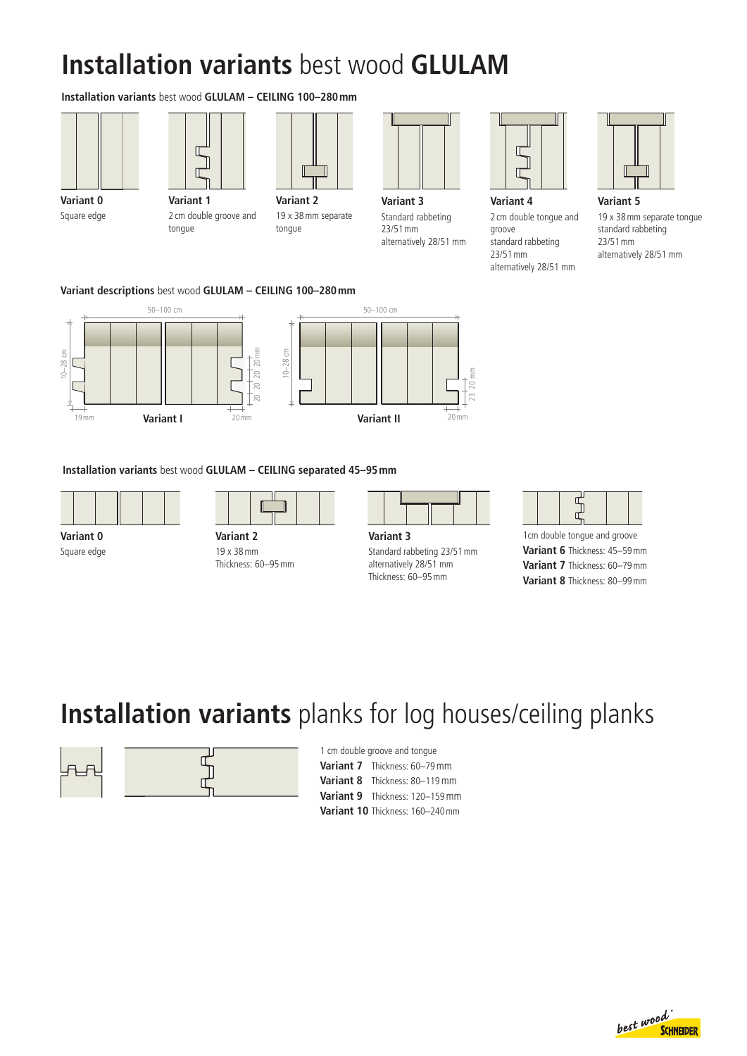# **Installation variants** best wood **GLULAM**

#### **Installation variants** best wood **GLULAM – CEILING 100–280mm**





**Variant 0** Square edge

**Variant 1** 2 cm double groove and

tongue



tongue

19 x 38mm separate



**Variant 3** Standard rabbeting 23/51mm alternatively 28/51 mm



**Variant 4** 2 cm double tongue and groove standard rabbeting 23/51mm alternatively 28/51 mm

**Variant 5** 19 x 38mm separate tongue standard rabbeting 23/51mm alternatively 28/51 mm

**Variant descriptions** best wood **GLULAM – CEILING 100–280mm**



**Installation variants** best wood **GLULAM – CEILING separated 45–95mm**



**Variant 0** Square edge



19 x 38mm Thickness: 60–95mm

| $M = 12.5$ |  |  |  |
|------------|--|--|--|

**Variant 3** Standard rabbeting 23/51mm alternatively 28/51 mm Thickness: 60–95mm

|--|--|

1cm double tongue and groove **Variant 6** Thickness: 45–59mm **Variant 7** Thickness: 60–79mm **Variant 8** Thickness: 80–99mm

### **Installation variants** planks for log houses/ceiling planks



1 cm double groove and tongue **Variant 7** Thickness: 60–79mm **Variant 8** Thickness: 80–119mm **Variant 9** Thickness: 120–159mm **Variant 10** Thickness: 160–240mm